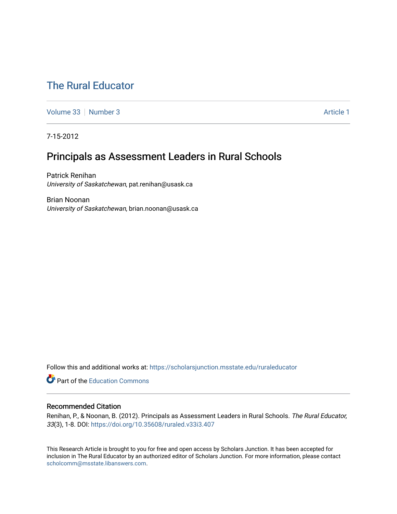# [The Rural Educator](https://scholarsjunction.msstate.edu/ruraleducator)

[Volume 33](https://scholarsjunction.msstate.edu/ruraleducator/vol33) [Number 3](https://scholarsjunction.msstate.edu/ruraleducator/vol33/iss3) Article 1

7-15-2012

# Principals as Assessment Leaders in Rural Schools

Patrick Renihan University of Saskatchewan, pat.renihan@usask.ca

Brian Noonan University of Saskatchewan, brian.noonan@usask.ca

Follow this and additional works at: [https://scholarsjunction.msstate.edu/ruraleducator](https://scholarsjunction.msstate.edu/ruraleducator?utm_source=scholarsjunction.msstate.edu%2Fruraleducator%2Fvol33%2Fiss3%2F1&utm_medium=PDF&utm_campaign=PDFCoverPages)

**C** Part of the [Education Commons](http://network.bepress.com/hgg/discipline/784?utm_source=scholarsjunction.msstate.edu%2Fruraleducator%2Fvol33%2Fiss3%2F1&utm_medium=PDF&utm_campaign=PDFCoverPages)

# Recommended Citation

Renihan, P., & Noonan, B. (2012). Principals as Assessment Leaders in Rural Schools. The Rural Educator, 33(3), 1-8. DOI:<https://doi.org/10.35608/ruraled.v33i3.407>

This Research Article is brought to you for free and open access by Scholars Junction. It has been accepted for inclusion in The Rural Educator by an authorized editor of Scholars Junction. For more information, please contact [scholcomm@msstate.libanswers.com.](mailto:scholcomm@msstate.libanswers.com)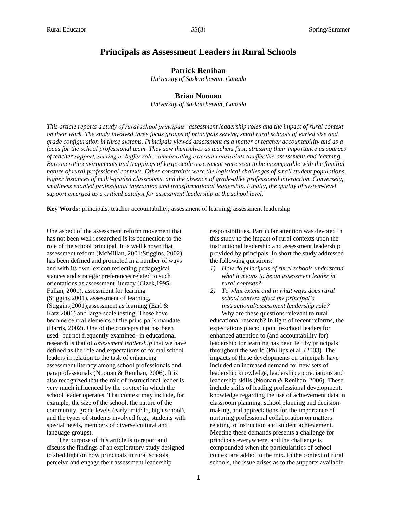# **Principals as Assessment Leaders in Rural Schools**

# **Patrick Renihan**

*University of Saskatchewan, Canada*

## **Brian Noonan**

*University of Saskatchewan, Canada*

*This article reports a study of rural school principals' assessment leadership roles and the impact of rural context on their work. The study involved three focus groups of principals serving small rural schools of varied size and grade configuration in three systems. Principals viewed assessment as a matter of teacher accountability and as a focus for the school professional team. They saw themselves as teachers first, stressing their importance as sources of teacher support, serving a 'buffer role,' ameliorating external constraints to effective assessment and learning. Bureaucratic environments and trappings of large-scale assessment were seen to be incompatible with the familial nature of rural professional contexts. Other constraints were the logistical challenges of small student populations, higher instances of multi-graded classrooms, and the absence of grade-alike professional interaction. Conversely, smallness enabled professional interaction and transformational leadership. Finally, the quality of system-level support emerged as a critical catalyst for assessment leadership at the school level.*

**Key Words:** principals; teacher accountability; assessment of learning; assessment leadership

One aspect of the assessment reform movement that has not been well researched is its connection to the role of the school principal. It is well known that assessment reform (McMillan, 2001;Stiggins, 2002) has been defined and promoted in a number of ways and with its own lexicon reflecting pedagogical stances and strategic preferences related to such orientations as assessment literacy (Cizek,1995; Fullan, 2001), assessment for learning (Stiggins,2001), assessment of learning, (Stiggins,2001);assessment as learning (Earl & Katz,2006) and large-scale testing. These have become central elements of the principal's mandate (Harris, 2002). One of the concepts that has been used- but not frequently examined- in educational research is that of *assessment leadership* that we have defined as the role and expectations of formal school leaders in relation to the task of enhancing assessment literacy among school professionals and paraprofessionals (Noonan & Renihan, 2006). It is also recognized that the role of instructional leader is very much influenced by the *context* in which the school leader operates. That context may include, for example, the size of the school, the nature of the community, grade levels (early, middle, high school), and the types of students involved (e.g., students with special needs, members of diverse cultural and language groups).

The purpose of this article is to report and discuss the findings of an exploratory study designed to shed light on how principals in rural schools perceive and engage their assessment leadership

responsibilities. Particular attention was devoted in this study to the impact of rural contexts upon the instructional leadership and assessment leadership provided by principals. In short the study addressed the following questions:

- *1) How do principals of rural schools understand what it means to be an assessment leader in rural contexts?*
- *2) To what extent and in what ways does rural school context affect the principal's instructional/assessment leadership role?*

Why are these questions relevant to rural educational research? In light of recent reforms, the expectations placed upon in-school leaders for enhanced attention to (and accountability for) leadership for learning has been felt by principals throughout the world (Phillips et al. (2003). The impacts of these developments on principals have included an increased demand for new sets of leadership knowledge, leadership appreciations and leadership skills (Noonan & Renihan, 2006). These include skills of leading professional development, knowledge regarding the use of achievement data in classroom planning, school planning and decisionmaking, and appreciations for the importance of nurturing professional collaboration on matters relating to instruction and student achievement. Meeting these demands presents a challenge for principals everywhere, and the challenge is compounded when the particularities of school context are added to the mix. In the context of rural schools, the issue arises as to the supports available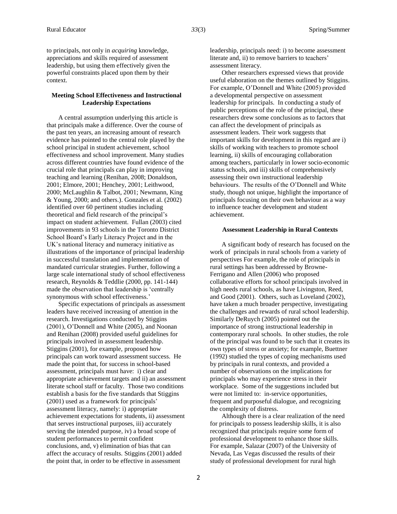to principals, not only in *acquiring* knowledge, appreciations and skills required of assessment leadership, but using them effectively given the powerful constraints placed upon them by their context.

### **Meeting School Effectiveness and Instructional Leadership Expectations**

A central assumption underlying this article is that principals make a difference. Over the course of the past ten years, an increasing amount of research evidence has pointed to the central role played by the school principal in student achievement, school effectiveness and school improvement. Many studies across different countries have found evidence of the crucial role that principals can play in improving teaching and learning (Renihan, 2008; Donaldson, 2001; Elmore, 2001; Henchey, 2001; Leithwood, 2000; McLaughlin & Talbot, 2001; Newmann, King & Young, 2000; and others.). Gonzales et al. (2002) identified over 60 pertinent studies including theoretical and field research of the principal's impact on student achievement. Fullan (2003) cited improvements in 93 schools in the Toronto District School Board's Early Literacy Project and in the UK's national literacy and numeracy initiative as illustrations of the importance of principal leadership in successful translation and implementation of mandated curricular strategies. Further, following a large scale international study of school effectiveness research, Reynolds & Teddlie (2000, pp. 141-144) made the observation that leadership is 'centrally synonymous with school effectiveness.'

Specific expectations of principals as assessment leaders have received increasing of attention in the research. Investigations conducted by Stiggins (2001), O'Donnell and White (2005), and Noonan and Renihan (2008) provided useful guidelines for principals involved in assessment leadership. Stiggins (2001), for example, proposed how principals can work toward assessment success. He made the point that, for success in school-based assessment, principals must have: i) clear and appropriate achievement targets and ii) an assessment literate school staff or faculty. Those two conditions establish a basis for the five standards that Stiggins (2001) used as a framework for principals' assessment literacy, namely: i) appropriate achievement expectations for students, ii) assessment that serves instructional purposes, iii) accurately serving the intended purpose, iv) a broad scope of student performances to permit confident conclusions, and, v) elimination of bias that can affect the accuracy of results. Stiggins (2001) added the point that, in order to be effective in assessment

leadership, principals need: i) to become assessment literate and, ii) to remove barriers to teachers' assessment literacy.

Other researchers expressed views that provide useful elaboration on the themes outlined by Stiggins. For example, O'Donnell and White (2005) provided a developmental perspective on assessment leadership for principals. In conducting a study of public perceptions of the role of the principal, these researchers drew some conclusions as to factors that can affect the development of principals as assessment leaders. Their work suggests that important skills for development in this regard are i) skills of working with teachers to promote school learning, ii) skills of encouraging collaboration among teachers, particularly in lower socio-economic status schools, and iii) skills of comprehensively assessing their own instructional leadership behaviours. The results of the O'Donnell and White study, though not unique, highlight the importance of principals focusing on their own behaviour as a way to influence teacher development and student achievement.

#### **Assessment Leadership in Rural Contexts**

A significant body of research has focused on the work of principals in rural schools from a variety of perspectives For example, the role of principals in rural settings has been addressed by Browne-Ferrigano and Allen (2006) who proposed collaborative efforts for school principals involved in high needs rural schools, as have Livingston, Reed, and Good (2001). Others, such as Loveland (2002), have taken a much broader perspective, investigating the challenges and rewards of rural school leadership. Similarly DeRuych (2005) pointed out the importance of strong instructional leadership in contemporary rural schools. In other studies, the role of the principal was found to be such that it creates its own types of stress or anxiety; for example, Buettner (1992) studied the types of coping mechanisms used by principals in rural contexts, and provided a number of observations on the implications for principals who may experience stress in their workplace. Some of the suggestions included but were not limited to: in-service opportunities, frequent and purposeful dialogue, and recognizing the complexity of distress.

Although there is a clear realization of the need for principals to possess leadership skills, it is also recognized that principals require some form of professional development to enhance those skills. For example, Salazar (2007) of the University of Nevada, Las Vegas discussed the results of their study of professional development for rural high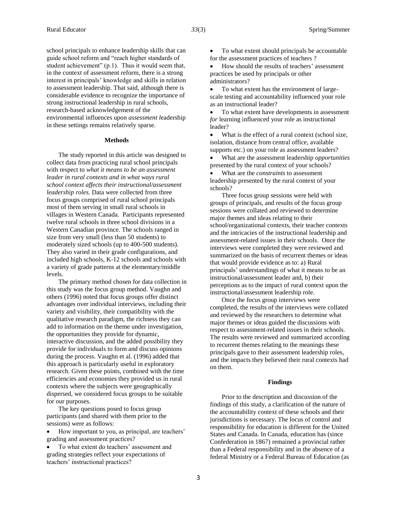school principals to enhance leadership skills that can guide school reform and "reach higher standards of student achievement" (p.1). Thus it would seem that, in the context of assessment reform, there is a strong interest in principals' knowledge and skills in relation to assessment leadership. That said, although there is considerable evidence to recognize the importance of strong instructional leadership in rural schools, research-based acknowledgement of the environmental influences upon *assessment l*eadership in these settings remains relatively sparse.

#### **Methods**

The study reported in this article was designed to collect data from practicing rural school principals with respect to *what it means to be an assessment leader in rural contexts and in what ways rural school context affects their instructional/assessment leadership roles.* Data were collected from three focus groups comprised of rural school principals most of them serving in small rural schools in villages in Western Canada. Participants represented twelve rural schools in three school divisions in a Western Canadian province. The schools ranged in size from very small (less than 50 students) to moderately sized schools (up to 400-500 students). They also varied in their grade configurations, and included high schools, K-12 schools and schools with a variety of grade patterns at the elementary/middle levels.

The primary method chosen for data collection in this study was the focus group method. Vaughn and others (1996) noted that focus groups offer distinct advantages over individual interviews, including their variety and visibility, their compatibility with the qualitative research paradigm, the richness they can add to information on the theme under investigation, the opportunities they provide for dynamic, interactive discussion, and the added possibility they provide for individuals to form and discuss opinions during the process. Vaughn et al. (1996) added that this approach is particularly useful in exploratory research. Given these points, combined with the time efficiencies and economies they provided us in rural contexts where the subjects were geographically dispersed, we considered focus groups to be suitable for our purposes.

The key questions posed to focus group participants (and shared with them prior to the sessions) were as follows:

 How important to you, as principal, are teachers' grading and assessment practices?

 To what extent do teachers' assessment and grading strategies reflect your expectations of teachers' instructional practices?

 To what extent should principals be accountable for the assessment practices of teachers ?

• How should the results of teachers' assessment practices be used by principals or other administrators?

 To what extent has the environment of largescale testing and accountability influenced your role as an instructional leader?

 To what extent have developments in assessment *for* learning influenced your role as instructional leader?

• What is the effect of a rural context (school size, isolation, distance from central office, available supports etc.) on your role as assessment leaders?

 What are the assessment leadership *opportunities* presented by the rural context of your schools?

 What are the *constraints* to assessment leadership presented by the rural context of your schools?

Three focus group sessions were held with groups of principals, and results of the focus group sessions were collated and reviewed to determine major themes and ideas relating to their school/organizational contexts, their teacher contexts and the intricacies of the instructional leadership and assessment-related issues in their schools. Once the interviews were completed they were reviewed and summarized on the basis of recurrent themes or ideas that would provide evidence as to: a) Rural principals' understandings of what it means to be an instructional/assessment leader and, b) their perceptions as to the impact of rural context upon the instructional/assessment leadership role.

Once the focus group interviews were completed, the results of the interviews were collated and reviewed by the researchers to determine what major themes or ideas guided the discussions with respect to assessment-related issues in their schools. The results were reviewed and summarized according to recurrent themes relating to the meanings these principals gave to their assessment leadership roles, and the impacts they believed their rural contexts had on them.

#### **Findings**

Prior to the description and discussion of the findings of this study, a clarification of the nature of the accountability context of these schools and their jurisdictions is necessary. The locus of control and responsibility for education is different for the United States and Canada. In Canada, education has (since Confederation in 1867) remained a provincial rather than a Federal responsibility and in the absence of a federal Ministry or a Federal Bureau of Education (as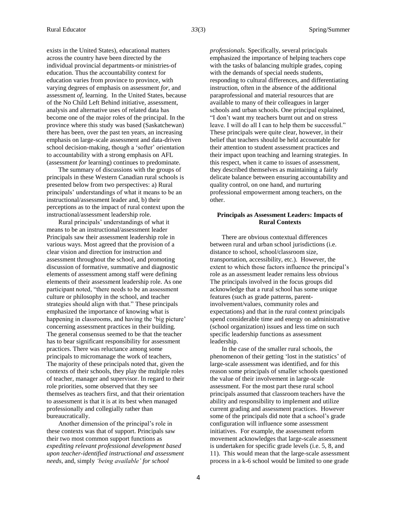exists in the United States), educational matters across the country have been directed by the individual provincial departments-or ministries-of education. Thus the accountability context for education varies from province to province, with varying degrees of emphasis on assessment *for*, and assessment *of*, learning. In the United States, because of the No Child Left Behind initiative, assessment, analysis and alternative uses of related data has become one of the major roles of the principal. In the province where this study was based (Saskatchewan) there has been, over the past ten years, an increasing emphasis on large-scale assessment and data-driven school decision-making, though a 'softer' orientation to accountability with a strong emphasis on AFL (assessment *for* learning) continues to predominate.

The summary of discussions with the groups of principals in these Western Canadian rural schools is presented below from two perspectives: a) Rural principals' understandings of what it means to be an instructional/assessment leader and, b) their perceptions as to the impact of rural context upon the instructional/assessment leadership role.

Rural principals' understandings of what it means to be an instructional/assessment leader Principals saw their assessment leadership role in various ways. Most agreed that the provision of a clear vision and direction for instruction and assessment throughout the school, and promoting discussion of formative, summative and diagnostic elements of assessment among staff were defining elements of their assessment leadership role. As one participant noted, "there needs to be an assessment culture or philosophy in the school, and teacher strategies should align with that." These principals emphasized the importance of knowing what is happening in classrooms, and having the 'big picture' concerning assessment practices in their building. The general consensus seemed to be that the teacher has to bear significant responsibility for assessment practices. There was reluctance among some principals to micromanage the work of teachers, The majority of these principals noted that, given the contexts of their schools, they play the multiple roles of teacher, manager and supervisor. In regard to their role priorities, some observed that they see themselves as teachers first, and that their orientation to assessment is that it is at its best when managed professionally and collegially rather than bureaucratically.

Another dimension of the principal's role in these contexts was that of support. Principals saw their two most common support functions as *expediting relevant professional development based upon teacher-identified instructional and assessment needs*, and, simply *'being available' for school* 

*professionals.* Specifically, several principals emphasized the importance of helping teachers cope with the tasks of balancing multiple grades, coping with the demands of special needs students, responding to cultural differences, and differentiating instruction, often in the absence of the additional paraprofessional and material resources that are available to many of their colleagues in larger schools and urban schools. One principal explained, "I don't want my teachers burnt out and on stress leave. I will do all I can to help them be successful." These principals were quite clear, however, in their belief that teachers should be held accountable for their attention to student assessment practices and their impact upon teaching and learning strategies. In this respect, when it came to issues of assessment, they described themselves as maintaining a fairly delicate balance between ensuring accountability and quality control, on one hand, and nurturing professional empowerment among teachers, on the other.

#### **Principals as Assessment Leaders: Impacts of Rural Contexts**

There are obvious contextual differences between rural and urban school jurisdictions (i.e. distance to school, school/classroom size, transportation, accessibility, etc.). However, the extent to which those factors influence the principal's role as an assessment leader remains less obvious The principals involved in the focus groups did acknowledge that a rural school has some unique features (such as grade patterns, parentinvolvement/values, community roles and expectations) and that in the rural context principals spend considerable time and energy on administrative (school organization) issues and less time on such specific leadership functions as assessment leadership.

In the case of the smaller rural schools, the phenomenon of their getting 'lost in the statistics' of large-scale assessment was identified, and for this reason some principals of smaller schools questioned the value of their involvement in large-scale assessment. For the most part these rural school principals assumed that classroom teachers have the ability and responsibility to implement and utilize current grading and assessment practices. However some of the principals did note that a school's grade configuration will influence some assessment initiatives. For example, the assessment reform movement acknowledges that large-scale assessment is undertaken for specific grade levels (i.e. 5, 8, and 11). This would mean that the large-scale assessment process in a k-6 school would be limited to one grade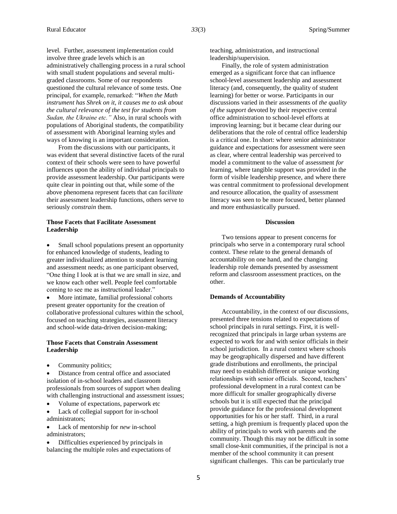level*.* Further, assessment implementation could involve three grade levels which is an administratively challenging process in a rural school with small student populations and several multigraded classrooms. Some of our respondents questioned the cultural relevance of some tests. One principal, for example, remarked: "*When the Math instrument has Shrek on it, it causes me to ask about the cultural relevance of the test for students from Sudan, the Ukraine etc."* Also, in rural schools with populations of Aboriginal students, the compatibility of assessment with Aboriginal learning styles and ways of knowing is an important consideration.

From the discussions with our participants, it was evident that several distinctive facets of the rural context of their schools were seen to have powerful influences upon the ability of individual principals to provide assessment leadership. Our participants were quite clear in pointing out that, while some of the above phenomena represent facets that can f*acilitate* their assessment leadership functions, others serve to seriously *constrain* them.

#### **Those Facets that Facilitate Assessment Leadership**

 Small school populations present an opportunity for enhanced knowledge of students, leading to greater individualized attention to student learning and assessment needs; as one participant observed, "One thing I look at is that we are small in size, and we know each other well. People feel comfortable coming to see me as instructional leader."

 More intimate, familial professional cohorts present greater opportunity for the creation of collaborative professional cultures within the school, focused on teaching strategies, assessment literacy and school-wide data-driven decision-making;

### **Those Facets that Constrain Assessment Leadership**

Community politics;

 Distance from central office and associated isolation of in-school leaders and classroom professionals from sources of support when dealing with challenging instructional and assessment issues;

Volume of expectations, paperwork etc

 Lack of collegial support for in-school administrators;

 Lack of mentorship for *new* in-school administrators;

 Difficulties experienced by principals in balancing the multiple roles and expectations of teaching, administration, and instructional leadership/supervision.

Finally, the role of system administration emerged as a significant force that can influence school-level assessment leadership and assessment literacy (and, consequently, the quality of student learning) for better or worse. Participants in our discussions varied in their assessments of *the quality of the support* devoted by their respective central office administration to school-level efforts at improving learning; but it became clear during our deliberations that the role of central office leadership is a critical one. In short: where senior administrator guidance and expectations for assessment were seen as clear, where central leadership was perceived to model a commitment to the value of assessment *for*  learning, where tangible support was provided in the form of visible leadership presence, and where there was central commitment to professional development and resource allocation, the quality of assessment literacy was seen to be more focused, better planned and more enthusiastically pursued.

#### **Discussion**

Two tensions appear to present concerns for principals who serve in a contemporary rural school context. These relate to the general demands of accountability on one hand, and the changing leadership role demands presented by assessment reform and classroom assessment practices, on the other.

#### **Demands of Accountability**

Accountability, in the context of our discussions, presented three tensions related to expectations of school principals in rural settings. First, it is wellrecognized that principals in large urban systems are expected to work for and with senior officials in their school jurisdiction. In a rural context where schools may be geographically dispersed and have different grade distributions and enrollments, the principal may need to establish different or unique working relationships with senior officials. Second, teachers' professional development in a rural context can be more difficult for smaller geographically diverse schools but it is still expected that the principal provide guidance for the professional development opportunities for his or her staff. Third, in a rural setting, a high premium is frequently placed upon the ability of principals to work with parents and the community. Though this may not be difficult in some small close-knit communities, if the principal is not a member of the school community it can present significant challenges. This can be particularly true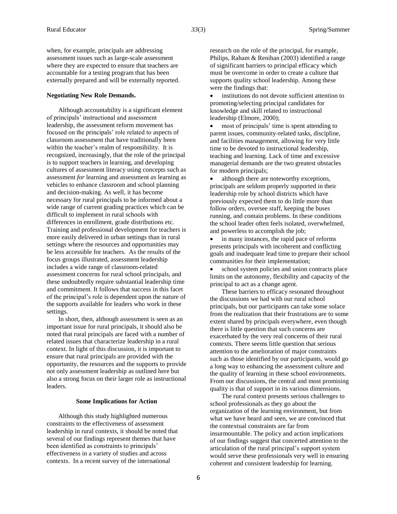when, for example, principals are addressing assessment issues such as large-scale assessment where they are expected to ensure that teachers are accountable for a testing program that has been externally prepared and will be externally reported.

#### **Negotiating New Role Demands.**

Although accountability is a significant element of principals' instructional and assessment leadership, the assessment reform movement has focused on the principals' role related to aspects of classroom assessment that have traditionally been within the teacher's realm of responsibility. It is recognized, increasingly, that the role of the principal is to support teachers in learning, and developing cultures of assessment literacy using concepts such as assessment *for* learning and assessment *as* learning as vehicles to enhance classroom and school planning and decision-making. As well, it has become necessary for rural principals to be informed about a wide range of current grading practices which can be difficult to implement in rural schools with differences in enrollment, grade distributions etc. Training and professional development for teachers is more easily delivered in urban settings than in rural settings where the resources and opportunities may be less accessible for teachers. As the results of the focus groups illustrated, assessment leadership includes a wide range of classroom-related assessment concerns for rural school principals, and these undoubtedly require substantial leadership time and commitment. It follows that success in this facet of the principal's role is dependent upon the nature of the supports available for leaders who work in these settings*.* 

In short, then, although assessment is seen as an important issue for rural principals, it should also be noted that rural principals are faced with a number of related issues that characterize leadership in a rural context. In light of this discussion, it is important to ensure that rural principals are provided with the opportunity, the resources and the supports to provide not only assessment leadership as outlined here but also a strong focus on their larger role as instructional leaders.

#### **Some Implications for Action**

Although this study highlighted numerous constraints to the effectiveness of assessment leadership in rural contexts, it should be noted that several of our findings represent themes that have been identified as constraints to principals' effectiveness in a variety of studies and across contexts. In a recent survey of the international

research on the role of the principal, for example, Philips, Raham & Renihan (2003) identified a range of significant barriers to principal efficacy which must be overcome in order to create a culture that supports quality school leadership. Among these were the findings that:

 institutions do not devote sufficient attention to promoting/selecting principal candidates for knowledge and skill related to instructional leadership (Elmore, 2000);

 most of principals' time is spent attending to parent issues, community-related tasks, discipline, and facilities management, allowing for very little time to be devoted to instructional leadership, teaching and learning. Lack of time and excessive managerial demands are the two greatest obstacles for modern principals;

 although there are noteworthy exceptions, principals are seldom properly supported in their leadership role by school districts which have previously expected them to do little more than follow orders, oversee staff, keeping the buses running, and contain problems. In these conditions the school leader often feels isolated, overwhelmed, and powerless to accomplish the job;

 in many instances, the rapid pace of reforms presents principals with incoherent and conflicting goals and inadequate lead time to prepare their school communities for their implementation;

 school system policies and union contracts place limits on the autonomy, flexibility and capacity of the principal to act as a change agent.

These barriers to efficacy resonated throughout the discussions we had with our rural school principals, but our participants can take some solace from the realization that their frustrations are to some extent shared by principals everywhere, even though there is little question that such concerns are exacerbated by the very real concerns of their rural contexts. There seems little question that serious attention to the amelioration of major constraints such as those identified by our participants, would go a long way to enhancing the assessment culture and the quality of learning in these school environments. From our discussions, the central and most promising quality is that of support in its various dimensions.

The rural context presents serious challenges to school professionals as they go about the organization of the learning environment, but from what we have heard and seen, we are convinced that the contextual constraints are far from insurmountable. The policy and action implications of our findings suggest that concerted attention to the articulation of the rural principal's support system would serve these professionals very well in ensuring coherent and consistent leadership for learning.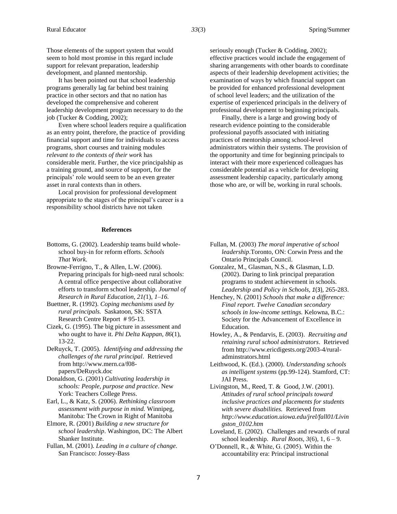Those elements of the support system that would seem to hold most promise in this regard include support for relevant preparation, leadership development, and planned mentorship.

It has been pointed out that school leadership programs generally lag far behind best training practice in other sectors and that no nation has developed the comprehensive and coherent leadership development program necessary to do the job (Tucker & Codding, 2002);

Even where school leaders require a qualification as an entry point, therefore, the practice of providing financial support and time for individuals to access programs, short courses and training modules *relevant to the contexts of their work* has considerable merit. Further, the vice principalship as a training ground, and source of support, for the principals' role would seem to be an even greater asset in rural contexts than in others.

Local provision for professional development appropriate to the stages of the principal's career is a responsibility school districts have not taken

#### **References**

- Bottoms, G. (2002). Leadership teams build wholeschool buy-in for reform efforts. *Schools That Work*.
- Browne-Ferrigno, T., & Allen, L.W. (2006). Preparing principals for high-need rural schools: A central office perspective about collaborative efforts to transform school leadership. *Journal of Research in Rural Education, 21(*1), *1–16.*
- Buettner, R. (1992). *Coping mechanisms used by rural principals.* Saskatoon, SK: SSTA Research Centre Report # 95-13.
- Cizek, G. (1995). The big picture in assessment and who ought to have it. *Phi Delta Kappan, 86*(1), 13-22.
- DeRuyck, T. (2005). *Identifying and addressing the challenges of the rural principal*. Retrieved from http://www.mern.ca/f08 papers/DeRuyck.doc
- Donaldson, G. (2001) *Cultivating leadership in schools: People, purpose and practice*. New York: Teachers College Press.
- Earl, L., & Katz, S. (2006). *Rethinking classroom assessment with purpose in mind.* Winnipeg, Manitoba: The Crown in Right of Manitoba
- Elmore, R. (2001) *Building a new structure for school leadership*. Washington, DC: The Albert Shanker Institute.
- Fullan, M. (2001). *Leading in a culture of change.* San Francisco: Jossey-Bass

seriously enough (Tucker & Codding, 2002); effective practices would include the engagement of sharing arrangements with other boards to coordinate aspects of their leadership development activities; the examination of ways by which financial support can be provided for enhanced professional development of school level leaders; and the utilization of the expertise of experienced principals in the delivery of professional development to beginning principals.

Finally, there is a large and growing body of research evidence pointing to the considerable professional payoffs associated with initiating practices of mentorship among school-level administrators within their systems. The provision of the opportunity and time for beginning principals to interact with their more experienced colleagues has considerable potential as a vehicle for developing assessment leadership capacity, particularly among those who are, or will be, working in rural schools.

- Fullan, M. (2003) *The moral imperative of school leadership*.Toronto, ON: Corwin Press and the Ontario Principals Council.
- Gonzalez, M., Glasman, N.S., & Glasman, L.D. (2002). Daring to link principal preparation programs to student achievement in schools. *Leadership and Policy in Schools*, *1*(3), 265-283.
- Henchey, N. (2001) *Schools that make a difference: Final report. Twelve Canadian secondary schools in low-income settings.* Kelowna, B.C.: Society for the Advancement of Excellence in Education.
- Howley, A., & Pendarvis, E. (2003). *Recruiting and retaining rural school administrators*. Retrieved from http://www.ericdigests.org/2003-4/ruraladminstrators.html
- Leithwood, K. (Ed.). (2000). *Understanding schools as intelligent systems* (pp.99-124). Stamford, CT: JAI Press.
- Livingston, M., Reed, T. & Good, J.W. (2001). *Attitudes of rural school principals toward inclusive practices and placements for students with severe disabilities.* Retrieved from *http://www.education.uiowa.edu/jrel/fall01/Livin gston\_0102.htm*
- Loveland, E. (2002). Challenges and rewards of rural school leadership. *Rural Roots, 3*(6), 1, 6 – 9.
- O'Donnell, R., & White, G. (2005). Within the accountability era: Principal instructional